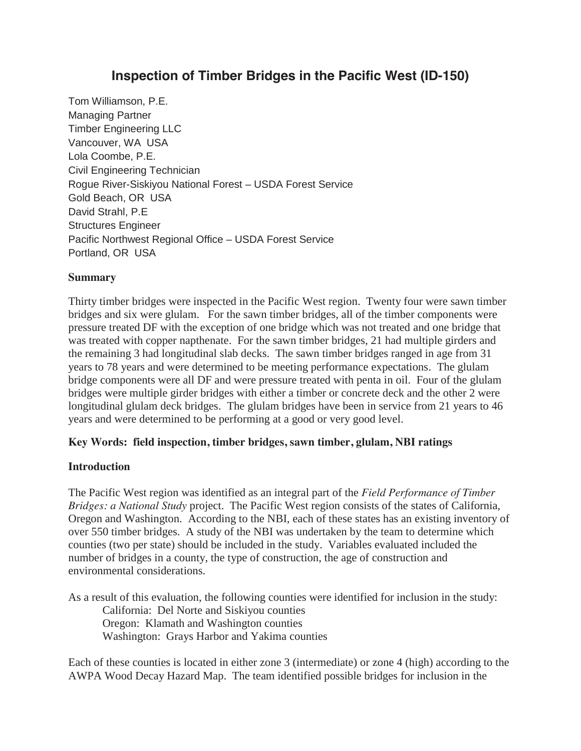# **Inspection of Timber Bridges in the Pacific West (ID-150)**

Tom Williamson, P.E. Managing Partner Timber Engineering LLC Vancouver, WA USA Lola Coombe, P.E. Civil Engineering Technician Rogue River-Siskiyou National Forest – USDA Forest Service Gold Beach, OR USA David Strahl, P.E Structures Engineer Pacific Northwest Regional Office – USDA Forest Service Portland, OR USA

#### **Summary**

Thirty timber bridges were inspected in the Pacific West region. Twenty four were sawn timber bridges and six were glulam. For the sawn timber bridges, all of the timber components were pressure treated DF with the exception of one bridge which was not treated and one bridge that was treated with copper napthenate. For the sawn timber bridges, 21 had multiple girders and the remaining 3 had longitudinal slab decks. The sawn timber bridges ranged in age from 31 years to 78 years and were determined to be meeting performance expectations. The glulam bridge components were all DF and were pressure treated with penta in oil. Four of the glulam bridges were multiple girder bridges with either a timber or concrete deck and the other 2 were longitudinal glulam deck bridges. The glulam bridges have been in service from 21 years to 46 years and were determined to be performing at a good or very good level.

#### **Key Words: field inspection, timber bridges, sawn timber, glulam, NBI ratings**

#### **Introduction**

The Pacific West region was identified as an integral part of the *Field Performance of Timber Bridges: a National Study* project.The Pacific West region consists of the states of California, Oregon and Washington. According to the NBI, each of these states has an existing inventory of over 550 timber bridges. A study of the NBI was undertaken by the team to determine which counties (two per state) should be included in the study. Variables evaluated included the number of bridges in a county, the type of construction, the age of construction and environmental considerations.

As a result of this evaluation, the following counties were identified for inclusion in the study: California: Del Norte and Siskiyou counties

 Oregon: Klamath and Washington counties Washington: Grays Harbor and Yakima counties

Each of these counties is located in either zone 3 (intermediate) or zone 4 (high) according to the AWPA Wood Decay Hazard Map. The team identified possible bridges for inclusion in the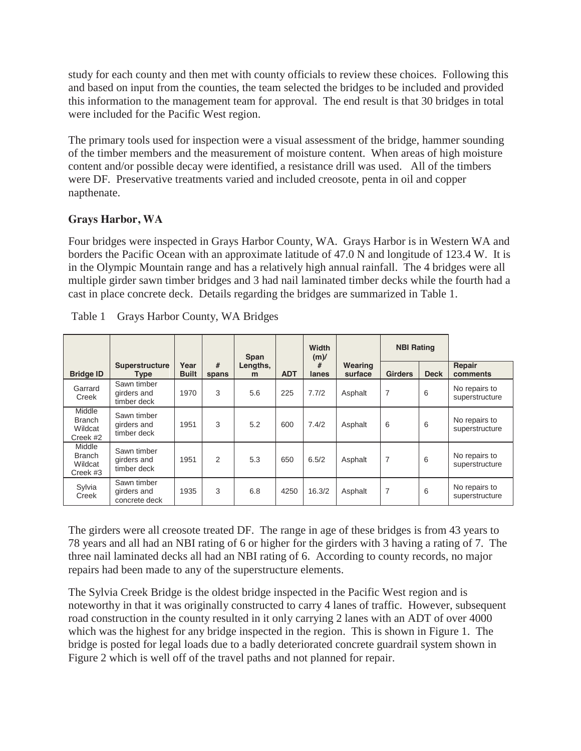study for each county and then met with county officials to review these choices. Following this and based on input from the counties, the team selected the bridges to be included and provided this information to the management team for approval. The end result is that 30 bridges in total were included for the Pacific West region.

The primary tools used for inspection were a visual assessment of the bridge, hammer sounding of the timber members and the measurement of moisture content. When areas of high moisture content and/or possible decay were identified, a resistance drill was used. All of the timbers were DF. Preservative treatments varied and included creosote, penta in oil and copper napthenate.

#### **Grays Harbor, WA**

Four bridges were inspected in Grays Harbor County, WA. Grays Harbor is in Western WA and borders the Pacific Ocean with an approximate latitude of 47.0 N and longitude of 123.4 W. It is in the Olympic Mountain range and has a relatively high annual rainfall. The 4 bridges were all multiple girder sawn timber bridges and 3 had nail laminated timber decks while the fourth had a cast in place concrete deck. Details regarding the bridges are summarized in Table 1.

|                                                |                                             |                      |            | <b>Span</b>   |            | Width<br>$(m)$ / |                    | <b>NBI Rating</b> |             |                                 |
|------------------------------------------------|---------------------------------------------|----------------------|------------|---------------|------------|------------------|--------------------|-------------------|-------------|---------------------------------|
| <b>Bridge ID</b>                               | Superstructure<br><b>Type</b>               | Year<br><b>Built</b> | #<br>spans | Lengths,<br>m | <b>ADT</b> | #<br>lanes       | Wearing<br>surface | <b>Girders</b>    | <b>Deck</b> | Repair<br>comments              |
| Garrard<br>Creek                               | Sawn timber<br>girders and<br>timber deck   | 1970                 | 3          | 5.6           | 225        | 7.7/2            | Asphalt            | $\overline{7}$    | 6           | No repairs to<br>superstructure |
| Middle<br><b>Branch</b><br>Wildcat<br>Creek #2 | Sawn timber<br>girders and<br>timber deck   | 1951                 | 3          | 5.2           | 600        | 7.4/2            | Asphalt            | 6                 | 6           | No repairs to<br>superstructure |
| Middle<br><b>Branch</b><br>Wildcat<br>Creek #3 | Sawn timber<br>girders and<br>timber deck   | 1951                 | 2          | 5.3           | 650        | 6.5/2            | Asphalt            | $\overline{7}$    | 6           | No repairs to<br>superstructure |
| Sylvia<br>Creek                                | Sawn timber<br>girders and<br>concrete deck | 1935                 | 3          | 6.8           | 4250       | 16.3/2           | Asphalt            | $\overline{7}$    | 6           | No repairs to<br>superstructure |

|  |  | Table 1 Grays Harbor County, WA Bridges |  |
|--|--|-----------------------------------------|--|
|--|--|-----------------------------------------|--|

The girders were all creosote treated DF. The range in age of these bridges is from 43 years to 78 years and all had an NBI rating of 6 or higher for the girders with 3 having a rating of 7. The three nail laminated decks all had an NBI rating of 6. According to county records, no major repairs had been made to any of the superstructure elements.

The Sylvia Creek Bridge is the oldest bridge inspected in the Pacific West region and is noteworthy in that it was originally constructed to carry 4 lanes of traffic. However, subsequent road construction in the county resulted in it only carrying 2 lanes with an ADT of over 4000 which was the highest for any bridge inspected in the region. This is shown in Figure 1. The bridge is posted for legal loads due to a badly deteriorated concrete guardrail system shown in Figure 2 which is well off of the travel paths and not planned for repair.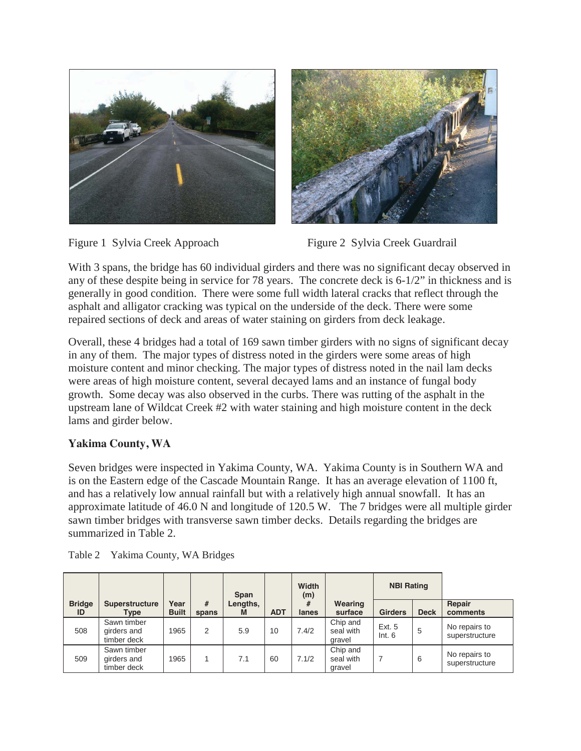





With 3 spans, the bridge has 60 individual girders and there was no significant decay observed in any of these despite being in service for 78 years. The concrete deck is 6-1/2" in thickness and is generally in good condition. There were some full width lateral cracks that reflect through the asphalt and alligator cracking was typical on the underside of the deck. There were some repaired sections of deck and areas of water staining on girders from deck leakage.

Overall, these 4 bridges had a total of 169 sawn timber girders with no signs of significant decay in any of them. The major types of distress noted in the girders were some areas of high moisture content and minor checking. The major types of distress noted in the nail lam decks were areas of high moisture content, several decayed lams and an instance of fungal body growth. Some decay was also observed in the curbs. There was rutting of the asphalt in the upstream lane of Wildcat Creek #2 with water staining and high moisture content in the deck lams and girder below.

## **Yakima County, WA**

Seven bridges were inspected in Yakima County, WA. Yakima County is in Southern WA and is on the Eastern edge of the Cascade Mountain Range. It has an average elevation of 1100 ft, and has a relatively low annual rainfall but with a relatively high annual snowfall. It has an approximate latitude of 46.0 N and longitude of 120.5 W. The 7 bridges were all multiple girder sawn timber bridges with transverse sawn timber decks. Details regarding the bridges are summarized in Table 2.

|                     |                                           |                      |            | Span          |            | Width<br>(m) |                                 | <b>NBI Rating</b> |             |                                 |
|---------------------|-------------------------------------------|----------------------|------------|---------------|------------|--------------|---------------------------------|-------------------|-------------|---------------------------------|
| <b>Bridge</b><br>ID | <b>Superstructure</b><br>Type             | Year<br><b>Built</b> | #<br>spans | Lengths,<br>M | <b>ADT</b> | #<br>lanes   | Wearing<br>surface              | <b>Girders</b>    | <b>Deck</b> | Repair<br>comments              |
| 508                 | Sawn timber<br>girders and<br>timber deck | 1965                 | 2          | 5.9           | 10         | 7.4/2        | Chip and<br>seal with<br>gravel | Ext. 5<br>Int. 6  | 5           | No repairs to<br>superstructure |
| 509                 | Sawn timber<br>girders and<br>timber deck | 1965                 |            | 7.1           | 60         | 7.1/2        | Chip and<br>seal with<br>gravel | $\overline{7}$    | 6           | No repairs to<br>superstructure |

Table 2 Yakima County, WA Bridges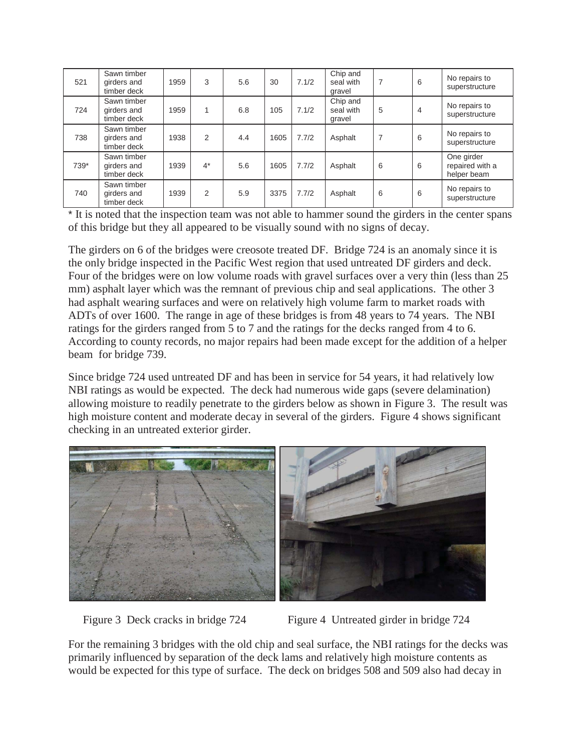| 521  | Sawn timber<br>girders and<br>timber deck | 1959 | 3     | 5.6 | 30   | 7.1/2 | Chip and<br>seal with<br>gravel | 7              | 6 | No repairs to<br>superstructure              |
|------|-------------------------------------------|------|-------|-----|------|-------|---------------------------------|----------------|---|----------------------------------------------|
| 724  | Sawn timber<br>girders and<br>timber deck | 1959 |       | 6.8 | 105  | 7.1/2 | Chip and<br>seal with<br>gravel | 5              | 4 | No repairs to<br>superstructure              |
| 738  | Sawn timber<br>girders and<br>timber deck | 1938 | 2     | 4.4 | 1605 | 7.7/2 | Asphalt                         | $\overline{7}$ | 6 | No repairs to<br>superstructure              |
| 739* | Sawn timber<br>girders and<br>timber deck | 1939 | $4^*$ | 5.6 | 1605 | 7.7/2 | Asphalt                         | 6              | 6 | One girder<br>repaired with a<br>helper beam |
| 740  | Sawn timber<br>girders and<br>timber deck | 1939 | 2     | 5.9 | 3375 | 7.7/2 | Asphalt                         | 6              | 6 | No repairs to<br>superstructure              |

\* It is noted that the inspection team was not able to hammer sound the girders in the center spans of this bridge but they all appeared to be visually sound with no signs of decay.

The girders on 6 of the bridges were creosote treated DF. Bridge 724 is an anomaly since it is the only bridge inspected in the Pacific West region that used untreated DF girders and deck. Four of the bridges were on low volume roads with gravel surfaces over a very thin (less than 25 mm) asphalt layer which was the remnant of previous chip and seal applications. The other 3 had asphalt wearing surfaces and were on relatively high volume farm to market roads with ADTs of over 1600. The range in age of these bridges is from 48 years to 74 years. The NBI ratings for the girders ranged from 5 to 7 and the ratings for the decks ranged from 4 to 6. According to county records, no major repairs had been made except for the addition of a helper beam for bridge 739.

Since bridge 724 used untreated DF and has been in service for 54 years, it had relatively low NBI ratings as would be expected. The deck had numerous wide gaps (severe delamination) allowing moisture to readily penetrate to the girders below as shown in Figure 3. The result was high moisture content and moderate decay in several of the girders. Figure 4 shows significant checking in an untreated exterior girder.





Figure 3 Deck cracks in bridge 724 Figure 4 Untreated girder in bridge 724

For the remaining 3 bridges with the old chip and seal surface, the NBI ratings for the decks was primarily influenced by separation of the deck lams and relatively high moisture contents as would be expected for this type of surface. The deck on bridges 508 and 509 also had decay in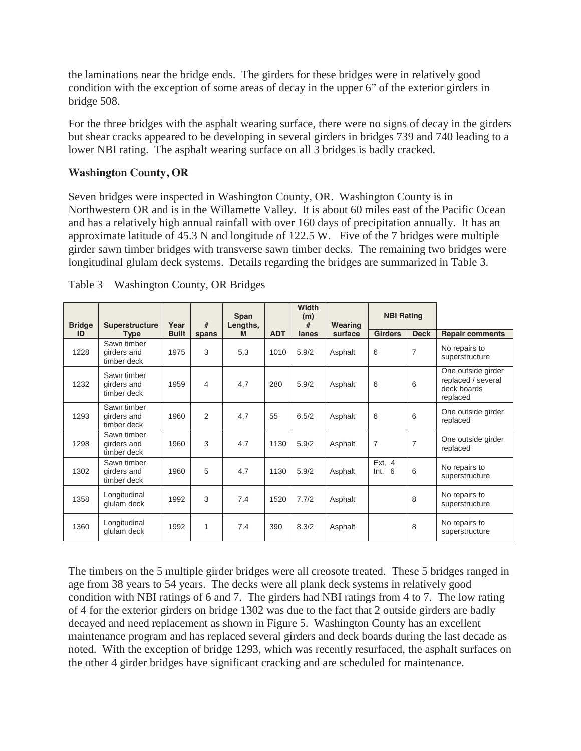the laminations near the bridge ends. The girders for these bridges were in relatively good condition with the exception of some areas of decay in the upper 6" of the exterior girders in bridge 508.

For the three bridges with the asphalt wearing surface, there were no signs of decay in the girders but shear cracks appeared to be developing in several girders in bridges 739 and 740 leading to a lower NBI rating. The asphalt wearing surface on all 3 bridges is badly cracked.

#### **Washington County, OR**

Seven bridges were inspected in Washington County, OR. Washington County is in Northwestern OR and is in the Willamette Valley. It is about 60 miles east of the Pacific Ocean and has a relatively high annual rainfall with over 160 days of precipitation annually. It has an approximate latitude of 45.3 N and longitude of 122.5 W. Five of the 7 bridges were multiple girder sawn timber bridges with transverse sawn timber decks. The remaining two bridges were longitudinal glulam deck systems. Details regarding the bridges are summarized in Table 3.

| <b>Bridge</b> | Superstructure                            | Year         | #     | Span<br>Lengths, |            | Width<br>(m)<br># | Wearing | <b>NBI Rating</b>     |                |                                                                     |
|---------------|-------------------------------------------|--------------|-------|------------------|------------|-------------------|---------|-----------------------|----------------|---------------------------------------------------------------------|
| ID            | <b>Type</b>                               | <b>Built</b> | spans | M                | <b>ADT</b> | lanes             | surface | <b>Girders</b>        | <b>Deck</b>    | <b>Repair comments</b>                                              |
| 1228          | Sawn timber<br>girders and<br>timber deck | 1975         | 3     | 5.3              | 1010       | 5.9/2             | Asphalt | 6                     | $\overline{7}$ | No repairs to<br>superstructure                                     |
| 1232          | Sawn timber<br>girders and<br>timber deck | 1959         | 4     | 4.7              | 280        | 5.9/2             | Asphalt | 6                     | 6              | One outside girder<br>replaced / several<br>deck boards<br>replaced |
| 1293          | Sawn timber<br>girders and<br>timber deck | 1960         | 2     | 4.7              | 55         | 6.5/2             | Asphalt | 6                     | 6              | One outside girder<br>replaced                                      |
| 1298          | Sawn timber<br>girders and<br>timber deck | 1960         | 3     | 4.7              | 1130       | 5.9/2             | Asphalt | $\overline{7}$        | 7              | One outside girder<br>replaced                                      |
| 1302          | Sawn timber<br>girders and<br>timber deck | 1960         | 5     | 4.7              | 1130       | 5.9/2             | Asphalt | Ext. $4$<br>Int.<br>6 | 6              | No repairs to<br>superstructure                                     |
| 1358          | Longitudinal<br>glulam deck               | 1992         | 3     | 7.4              | 1520       | 7.7/2             | Asphalt |                       | 8              | No repairs to<br>superstructure                                     |
| 1360          | Longitudinal<br>glulam deck               | 1992         | 1     | 7.4              | 390        | 8.3/2             | Asphalt |                       | 8              | No repairs to<br>superstructure                                     |

| Table 3 | <b>Washington County, OR Bridges</b> |  |  |
|---------|--------------------------------------|--|--|
|         |                                      |  |  |

The timbers on the 5 multiple girder bridges were all creosote treated. These 5 bridges ranged in age from 38 years to 54 years. The decks were all plank deck systems in relatively good condition with NBI ratings of 6 and 7. The girders had NBI ratings from 4 to 7. The low rating of 4 for the exterior girders on bridge 1302 was due to the fact that 2 outside girders are badly decayed and need replacement as shown in Figure 5. Washington County has an excellent maintenance program and has replaced several girders and deck boards during the last decade as noted. With the exception of bridge 1293, which was recently resurfaced, the asphalt surfaces on the other 4 girder bridges have significant cracking and are scheduled for maintenance.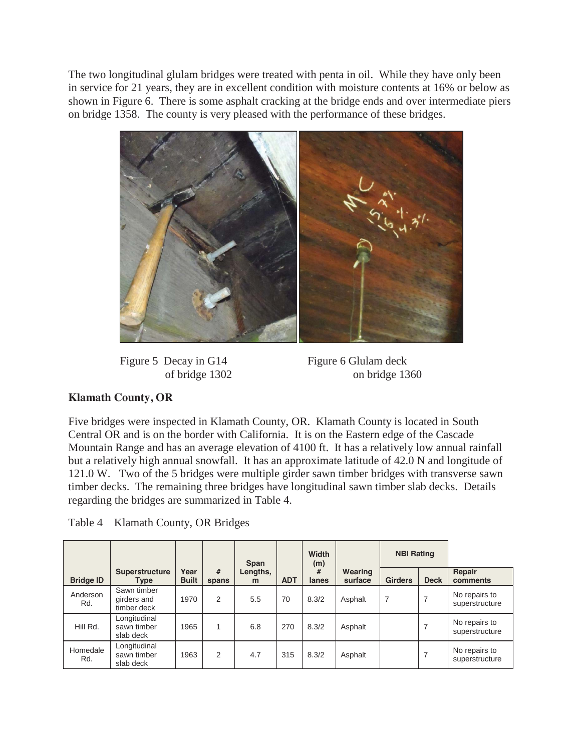The two longitudinal glulam bridges were treated with penta in oil. While they have only been in service for 21 years, they are in excellent condition with moisture contents at 16% or below as shown in Figure 6. There is some asphalt cracking at the bridge ends and over intermediate piers on bridge 1358. The county is very pleased with the performance of these bridges.



Figure 5 Decay in G14 Figure 6 Glulam deck

of bridge 1302 on bridge 1360

## **Klamath County, OR**

Five bridges were inspected in Klamath County, OR. Klamath County is located in South Central OR and is on the border with California. It is on the Eastern edge of the Cascade Mountain Range and has an average elevation of 4100 ft. It has a relatively low annual rainfall but a relatively high annual snowfall. It has an approximate latitude of 42.0 N and longitude of 121.0 W. Two of the 5 bridges were multiple girder sawn timber bridges with transverse sawn timber decks. The remaining three bridges have longitudinal sawn timber slab decks. Details regarding the bridges are summarized in Table 4.

| Table 4 Klamath County, OR Bridges |  |  |
|------------------------------------|--|--|
|                                    |  |  |

|                  |                                           |                      |            | Span          |            | Width<br>(m) |                    | <b>NBI Rating</b> |             |                                 |
|------------------|-------------------------------------------|----------------------|------------|---------------|------------|--------------|--------------------|-------------------|-------------|---------------------------------|
| <b>Bridge ID</b> | Superstructure<br><b>Type</b>             | Year<br><b>Built</b> | #<br>spans | Lengths,<br>m | <b>ADT</b> | #<br>lanes   | Wearing<br>surface | <b>Girders</b>    | <b>Deck</b> | Repair<br>comments              |
| Anderson<br>Rd.  | Sawn timber<br>girders and<br>timber deck | 1970                 | 2          | 5.5           | 70         | 8.3/2        | Asphalt            | 7                 |             | No repairs to<br>superstructure |
| Hill Rd.         | Longitudinal<br>sawn timber<br>slab deck  | 1965                 |            | 6.8           | 270        | 8.3/2        | Asphalt            |                   |             | No repairs to<br>superstructure |
| Homedale<br>Rd.  | Longitudinal<br>sawn timber<br>slab deck  | 1963                 | 2          | 4.7           | 315        | 8.3/2        | Asphalt            |                   |             | No repairs to<br>superstructure |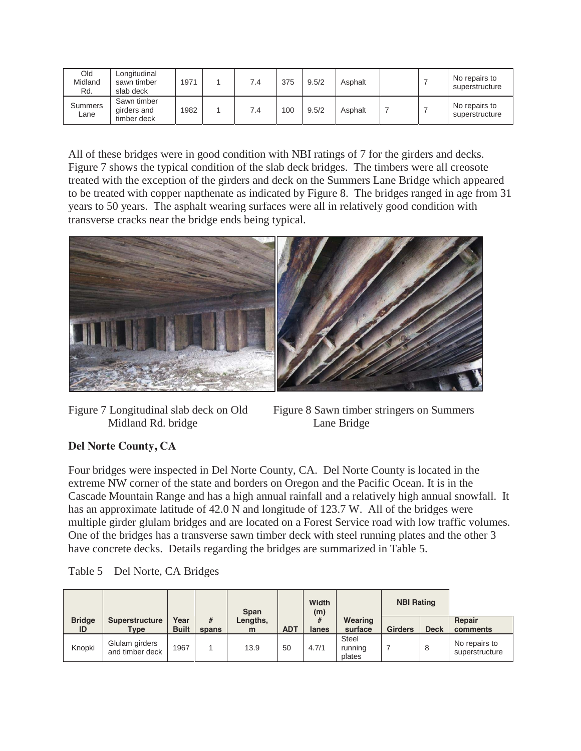| Old<br>Midland<br>Rd. | Longitudinal<br>sawn timber<br>slab deck  | 1971 | 7.4 | 375 | 9.5/2 | Asphalt |  | No repairs to<br>superstructure |
|-----------------------|-------------------------------------------|------|-----|-----|-------|---------|--|---------------------------------|
| Summers<br>Lane       | Sawn timber<br>girders and<br>timber deck | 1982 | 7.4 | 100 | 9.5/2 | Asphalt |  | No repairs to<br>superstructure |

All of these bridges were in good condition with NBI ratings of 7 for the girders and decks. Figure 7 shows the typical condition of the slab deck bridges. The timbers were all creosote treated with the exception of the girders and deck on the Summers Lane Bridge which appeared to be treated with copper napthenate as indicated by Figure 8. The bridges ranged in age from 31 years to 50 years. The asphalt wearing surfaces were all in relatively good condition with transverse cracks near the bridge ends being typical.



Midland Rd. bridge Lane Bridge

Figure 7 Longitudinal slab deck on Old Figure 8 Sawn timber stringers on Summers

## **Del Norte County, CA**

Four bridges were inspected in Del Norte County, CA. Del Norte County is located in the extreme NW corner of the state and borders on Oregon and the Pacific Ocean. It is in the Cascade Mountain Range and has a high annual rainfall and a relatively high annual snowfall. It has an approximate latitude of 42.0 N and longitude of 123.7 W. All of the bridges were multiple girder glulam bridges and are located on a Forest Service road with low traffic volumes. One of the bridges has a transverse sawn timber deck with steel running plates and the other 3 have concrete decks. Details regarding the bridges are summarized in Table 5.

| Table 5<br>Del Norte, CA Bridges |  |
|----------------------------------|--|
|----------------------------------|--|

|                     |                                   |                      |            | Span          |            | Width<br>(m) |                                   | <b>NBI Rating</b> |             |                                 |
|---------------------|-----------------------------------|----------------------|------------|---------------|------------|--------------|-----------------------------------|-------------------|-------------|---------------------------------|
| <b>Bridge</b><br>ID | <b>Superstructure</b><br>Type     | Year<br><b>Built</b> | #<br>spans | Lengths,<br>m | <b>ADT</b> | #<br>lanes   | Wearing<br>surface                | <b>Girders</b>    | <b>Deck</b> | Repair<br>comments              |
| Knopki              | Glulam girders<br>and timber deck | 1967                 |            | 13.9          | 50         | 4.7/1        | <b>Steel</b><br>running<br>plates |                   | 8           | No repairs to<br>superstructure |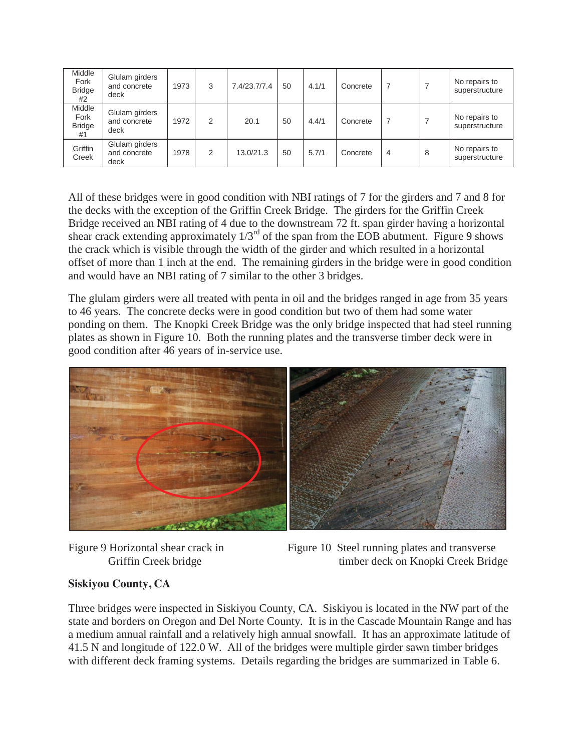| Middle<br>Fork<br><b>Bridge</b><br>#2 | Glulam girders<br>and concrete<br>deck | 1973 | 3 | 7.4/23.7/7.4 | 50 | 4.1/1 | Concrete | 7              |   | No repairs to<br>superstructure |
|---------------------------------------|----------------------------------------|------|---|--------------|----|-------|----------|----------------|---|---------------------------------|
| Middle<br>Fork<br><b>Bridge</b><br>#1 | Glulam girders<br>and concrete<br>deck | 1972 | 2 | 20.1         | 50 | 4.4/1 | Concrete | 7              |   | No repairs to<br>superstructure |
| Griffin<br>Creek                      | Glulam girders<br>and concrete<br>deck | 1978 | 2 | 13.0/21.3    | 50 | 5.7/1 | Concrete | $\overline{4}$ | 8 | No repairs to<br>superstructure |

All of these bridges were in good condition with NBI ratings of 7 for the girders and 7 and 8 for the decks with the exception of the Griffin Creek Bridge. The girders for the Griffin Creek Bridge received an NBI rating of 4 due to the downstream 72 ft. span girder having a horizontal shear crack extending approximately  $1/3^{rd}$  of the span from the EOB abutment. Figure 9 shows the crack which is visible through the width of the girder and which resulted in a horizontal offset of more than 1 inch at the end. The remaining girders in the bridge were in good condition and would have an NBI rating of 7 similar to the other 3 bridges.

The glulam girders were all treated with penta in oil and the bridges ranged in age from 35 years to 46 years. The concrete decks were in good condition but two of them had some water ponding on them. The Knopki Creek Bridge was the only bridge inspected that had steel running plates as shown in Figure 10. Both the running plates and the transverse timber deck were in good condition after 46 years of in-service use.





Figure 9 Horizontal shear crack in Figure 10 Steel running plates and transverse Griffin Creek bridge timber deck on Knopki Creek Bridge

## **Siskiyou County, CA**

Three bridges were inspected in Siskiyou County, CA. Siskiyou is located in the NW part of the state and borders on Oregon and Del Norte County. It is in the Cascade Mountain Range and has a medium annual rainfall and a relatively high annual snowfall. It has an approximate latitude of 41.5 N and longitude of 122.0 W. All of the bridges were multiple girder sawn timber bridges with different deck framing systems. Details regarding the bridges are summarized in Table 6.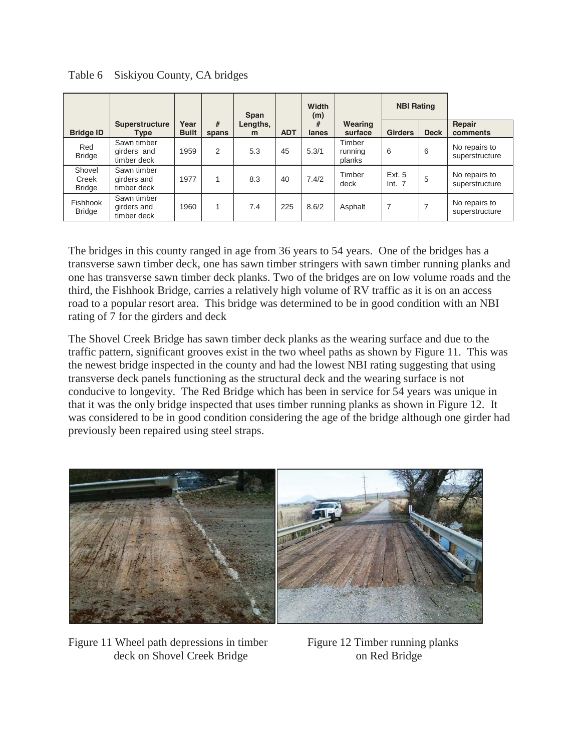|                                  |                                           |                      |            | <b>Span</b>   |            | Width<br>(m) |                             | <b>NBI Rating</b> |             |                                 |
|----------------------------------|-------------------------------------------|----------------------|------------|---------------|------------|--------------|-----------------------------|-------------------|-------------|---------------------------------|
| <b>Bridge ID</b>                 | Superstructure<br><b>Type</b>             | Year<br><b>Built</b> | #<br>spans | Lengths,<br>m | <b>ADT</b> | #<br>lanes   | Wearing<br>surface          | <b>Girders</b>    | <b>Deck</b> | Repair<br>comments              |
| Red<br><b>Bridge</b>             | Sawn timber<br>girders and<br>timber deck | 1959                 | 2          | 5.3           | 45         | 5.3/1        | Timber<br>running<br>planks | 6                 | 6           | No repairs to<br>superstructure |
| Shovel<br>Creek<br><b>Bridge</b> | Sawn timber<br>girders and<br>timber deck | 1977                 |            | 8.3           | 40         | 7.4/2        | Timber<br>deck              | Ext. 5<br>Int. 7  | 5           | No repairs to<br>superstructure |
| Fishhook<br><b>Bridge</b>        | Sawn timber<br>girders and<br>timber deck | 1960                 |            | 7.4           | 225        | 8.6/2        | Asphalt                     | 7                 |             | No repairs to<br>superstructure |

Table 6 Siskiyou County, CA bridges

The bridges in this county ranged in age from 36 years to 54 years. One of the bridges has a transverse sawn timber deck, one has sawn timber stringers with sawn timber running planks and one has transverse sawn timber deck planks. Two of the bridges are on low volume roads and the third, the Fishhook Bridge, carries a relatively high volume of RV traffic as it is on an access road to a popular resort area. This bridge was determined to be in good condition with an NBI rating of 7 for the girders and deck

The Shovel Creek Bridge has sawn timber deck planks as the wearing surface and due to the traffic pattern, significant grooves exist in the two wheel paths as shown by Figure 11. This was the newest bridge inspected in the county and had the lowest NBI rating suggesting that using transverse deck panels functioning as the structural deck and the wearing surface is not conducive to longevity. The Red Bridge which has been in service for 54 years was unique in that it was the only bridge inspected that uses timber running planks as shown in Figure 12. It was considered to be in good condition considering the age of the bridge although one girder had previously been repaired using steel straps.



Figure 11 Wheel path depressions in timber Figure 12 Timber running planks deck on Shovel Creek Bridge on Red Bridge